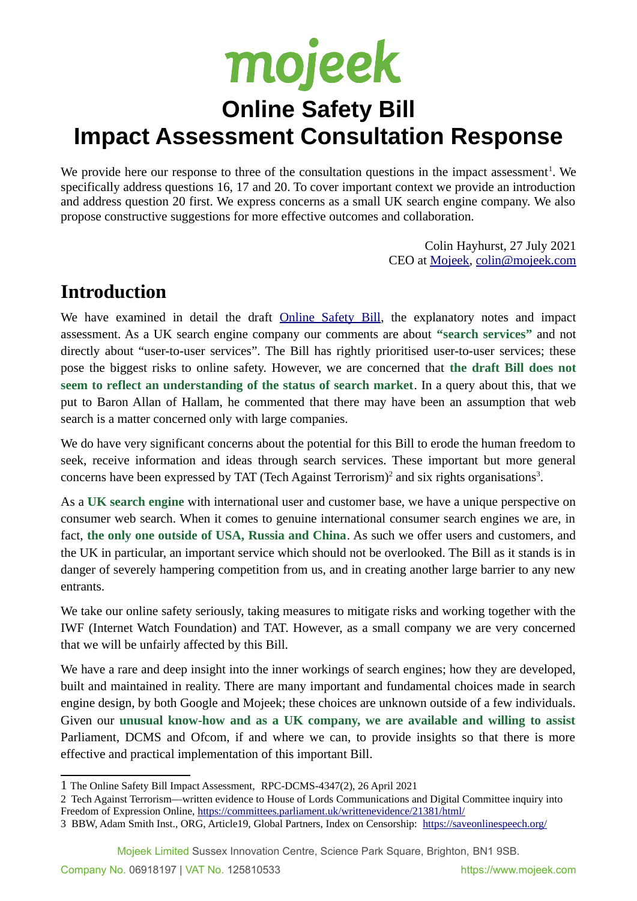# mojeek

## **Online Safety Bill Impact Assessment Consultation Response**

We provide here our response to three of the consultation questions in the impact assessment<sup>[1](#page-0-0)</sup>. We specifically address questions 16, 17 and 20. To cover important context we provide an introduction and address question 20 first. We express concerns as a small UK search engine company. We also propose constructive suggestions for more effective outcomes and collaboration.

> Colin Hayhurst, 27 July 2021 CEO at [Mojeek,](https://www.mojeek.com/) [colin@mojeek.com](mailto:colin@mojeek.com)

### **Introduction**

We have examined in detail the draft **Online Safety Bill**, the explanatory notes and impact assessment. As a UK search engine company our comments are about **"search services"** and not directly about "user-to-user services". The Bill has rightly prioritised user-to-user services; these pose the biggest risks to online safety. However, we are concerned that **the draft Bill does not seem to reflect an understanding of the status of search market**. In a query about this, that we put to Baron Allan of Hallam, he commented that there may have been an assumption that web search is a matter concerned only with large companies.

We do have very significant concerns about the potential for this Bill to erode the human freedom to seek, receive information and ideas through search services. These important but more general concerns have been expressed by TAT (Tech Against Terrorism)<sup>[2](#page-0-1)</sup> and six rights organisations<sup>[3](#page-0-2)</sup>.

As a **UK search engine** with international user and customer base, we have a unique perspective on consumer web search. When it comes to genuine international consumer search engines we are, in fact, **the only one outside of USA, Russia and China**. As such we offer users and customers, and the UK in particular, an important service which should not be overlooked. The Bill as it stands is in danger of severely hampering competition from us, and in creating another large barrier to any new entrants.

We take our online safety seriously, taking measures to mitigate risks and working together with the IWF (Internet Watch Foundation) and TAT. However, as a small company we are very concerned that we will be unfairly affected by this Bill.

We have a rare and deep insight into the inner workings of search engines; how they are developed, built and maintained in reality. There are many important and fundamental choices made in search engine design, by both Google and Mojeek; these choices are unknown outside of a few individuals. Given our **unusual know-how and as a UK company, we are available and willing to assist** Parliament, DCMS and Ofcom, if and where we can, to provide insights so that there is more effective and practical implementation of this important Bill.

#### Mojeek Limited Sussex Innovation Centre, Science Park Square, Brighton, BN1 9SB.

<span id="page-0-0"></span><sup>1</sup> The Online Safety Bill Impact Assessment, RPC-DCMS-4347(2), 26 April 2021

<span id="page-0-1"></span><sup>2</sup> Tech Against Terrorism—written evidence to House of Lords Communications and Digital Committee inquiry into Freedom of Expression Online, <https://committees.parliament.uk/writtenevidence/21381/html/>

<span id="page-0-2"></span><sup>3</sup> BBW, Adam Smith Inst., ORG, Article19, Global Partners, Index on Censorship: <https://saveonlinespeech.org/>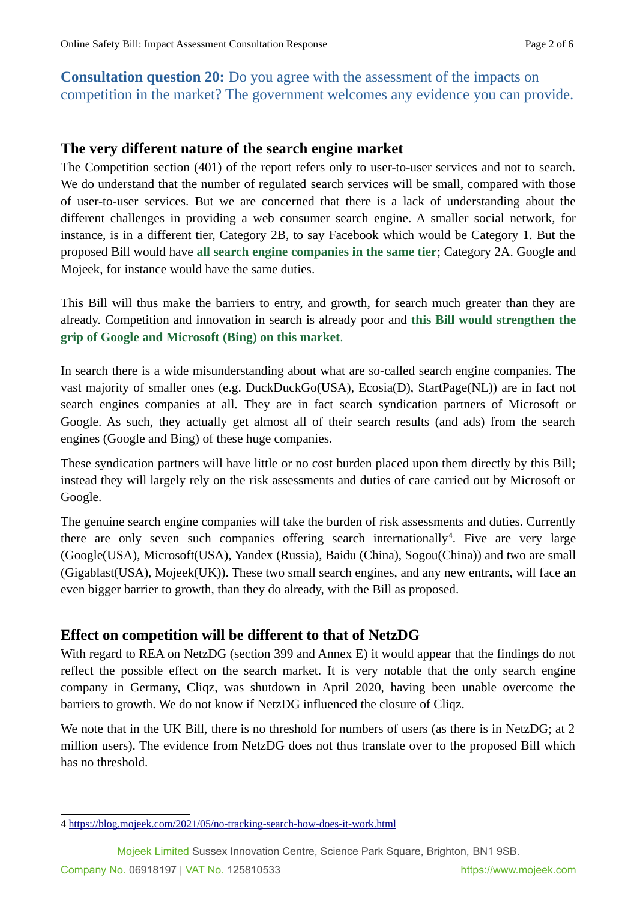**Consultation question 20:** Do you agree with the assessment of the impacts on competition in the market? The government welcomes any evidence you can provide.

#### **The very different nature of the search engine market**

The Competition section (401) of the report refers only to user-to-user services and not to search. We do understand that the number of regulated search services will be small, compared with those of user-to-user services. But we are concerned that there is a lack of understanding about the different challenges in providing a web consumer search engine. A smaller social network, for instance, is in a different tier, Category 2B, to say Facebook which would be Category 1. But the proposed Bill would have **all search engine companies in the same tier**; Category 2A. Google and Mojeek, for instance would have the same duties.

This Bill will thus make the barriers to entry, and growth, for search much greater than they are already. Competition and innovation in search is already poor and **this Bill would strengthen the grip of Google and Microsoft (Bing) on this market**.

In search there is a wide misunderstanding about what are so-called search engine companies. The vast majority of smaller ones (e.g. DuckDuckGo(USA), Ecosia(D), StartPage(NL)) are in fact not search engines companies at all. They are in fact search syndication partners of Microsoft or Google. As such, they actually get almost all of their search results (and ads) from the search engines (Google and Bing) of these huge companies.

These syndication partners will have little or no cost burden placed upon them directly by this Bill; instead they will largely rely on the risk assessments and duties of care carried out by Microsoft or Google.

The genuine search engine companies will take the burden of risk assessments and duties. Currently there are only seven such companies offering search internationally<sup>[4](#page-1-0)</sup>. Five are very large (Google(USA), Microsoft(USA), Yandex (Russia), Baidu (China), Sogou(China)) and two are small (Gigablast(USA), Mojeek(UK)). These two small search engines, and any new entrants, will face an even bigger barrier to growth, than they do already, with the Bill as proposed.

#### **Effect on competition will be different to that of NetzDG**

With regard to REA on NetzDG (section 399 and Annex E) it would appear that the findings do not reflect the possible effect on the search market. It is very notable that the only search engine company in Germany, Cliqz, was shutdown in April 2020, having been unable overcome the barriers to growth. We do not know if NetzDG influenced the closure of Cliqz.

We note that in the UK Bill, there is no threshold for numbers of users (as there is in NetzDG; at 2 million users). The evidence from NetzDG does not thus translate over to the proposed Bill which has no threshold.

<span id="page-1-0"></span><sup>4</sup> <https://blog.mojeek.com/2021/05/no-tracking-search-how-does-it-work.html>

Mojeek Limited Sussex Innovation Centre, Science Park Square, Brighton, BN1 9SB.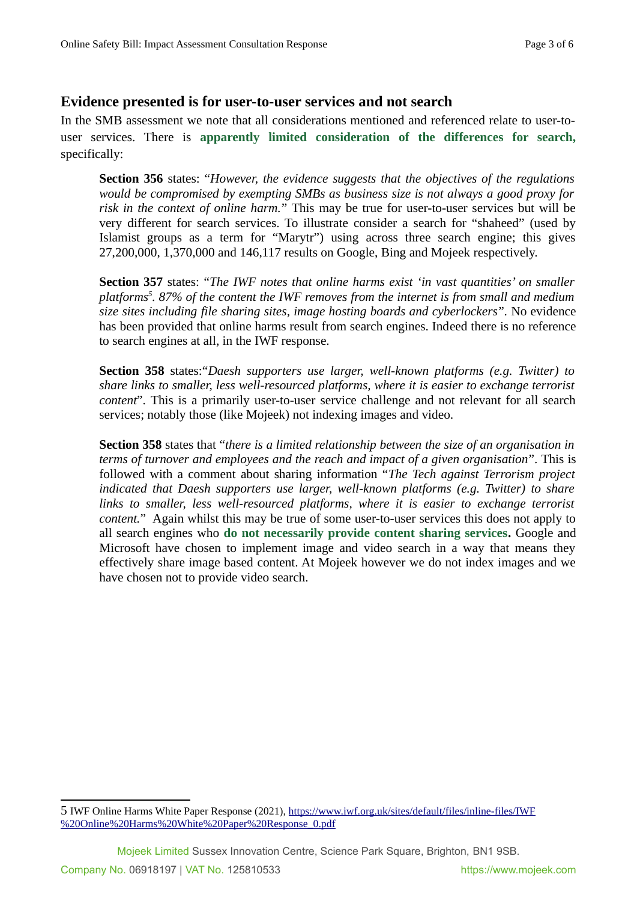#### **Evidence presented is for user-to-user services and not search**

In the SMB assessment we note that all considerations mentioned and referenced relate to user-touser services. There is **apparently limited consideration of the differences for search,** specifically:

**Section 356** states: "*However, the evidence suggests that the objectives of the regulations would be compromised by exempting SMBs as business size is not always a good proxy for risk in the context of online harm.*" This may be true for user-to-user services but will be very different for search services. To illustrate consider a search for "shaheed" (used by Islamist groups as a term for "Marytr") using across three search engine; this gives 27,200,000, 1,370,000 and 146,117 results on Google, Bing and Mojeek respectively.

**Section 357** states: "*The IWF notes that online harms exist 'in vast quantities' on smaller platforms[5](#page-2-0) . 87% of the content the IWF removes from the internet is from small and medium size sites including file sharing sites, image hosting boards and cyberlockers*". No evidence has been provided that online harms result from search engines. Indeed there is no reference to search engines at all, in the IWF response.

**Section 358** states:"*Daesh supporters use larger, well-known platforms (e.g. Twitter) to share links to smaller, less well-resourced platforms, where it is easier to exchange terrorist content*". This is a primarily user-to-user service challenge and not relevant for all search services; notably those (like Mojeek) not indexing images and video.

**Section 358** states that "*there is a limited relationship between the size of an organisation in terms of turnover and employees and the reach and impact of a given organisation*". This is followed with a comment about sharing information "*The Tech against Terrorism project indicated that Daesh supporters use larger, well-known platforms (e.g. Twitter) to share links to smaller, less well-resourced platforms, where it is easier to exchange terrorist content.*" Again whilst this may be true of some user-to-user services this does not apply to all search engines who **do not necessarily provide content sharing services.** Google and Microsoft have chosen to implement image and video search in a way that means they effectively share image based content. At Mojeek however we do not index images and we have chosen not to provide video search.

<span id="page-2-0"></span><sup>5</sup> IWF Online Harms White Paper Response (2021), [https://www.iwf.org.uk/sites/default/files/inline-files/IWF](https://www.iwf.org.uk/sites/default/files/inline-files/IWF%20Online%20Harms%20White%20Paper%20Response_0.pdf) [%20Online%20Harms%20White%20Paper%20Response\\_0.pdf](https://www.iwf.org.uk/sites/default/files/inline-files/IWF%20Online%20Harms%20White%20Paper%20Response_0.pdf)

Mojeek Limited Sussex Innovation Centre, Science Park Square, Brighton, BN1 9SB.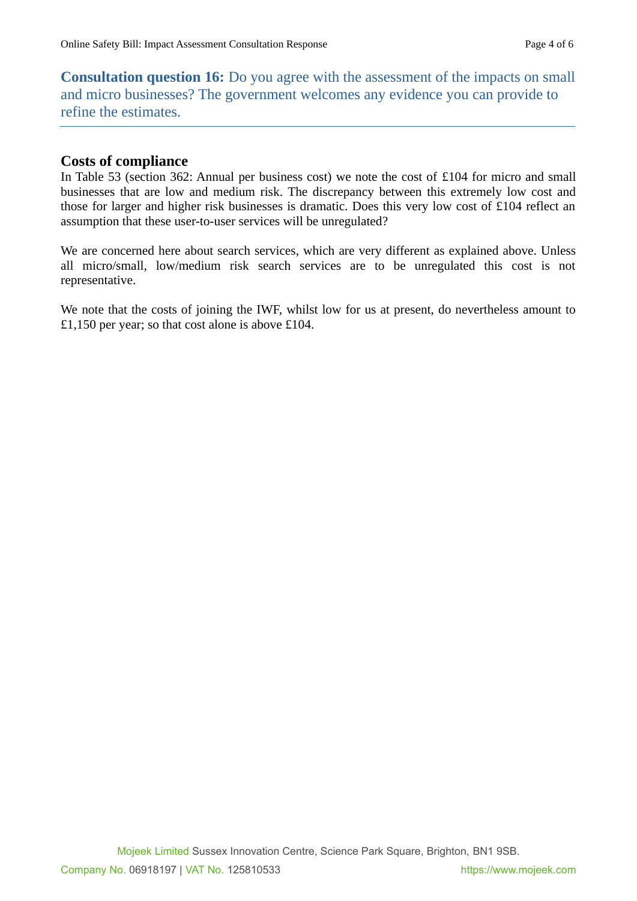**Consultation question 16:** Do you agree with the assessment of the impacts on small and micro businesses? The government welcomes any evidence you can provide to refine the estimates.

#### **Costs of compliance**

In Table 53 (section 362: Annual per business cost) we note the cost of £104 for micro and small businesses that are low and medium risk. The discrepancy between this extremely low cost and those for larger and higher risk businesses is dramatic. Does this very low cost of £104 reflect an assumption that these user-to-user services will be unregulated?

We are concerned here about search services, which are very different as explained above. Unless all micro/small, low/medium risk search services are to be unregulated this cost is not representative.

We note that the costs of joining the IWF, whilst low for us at present, do nevertheless amount to £1,150 per year; so that cost alone is above £104.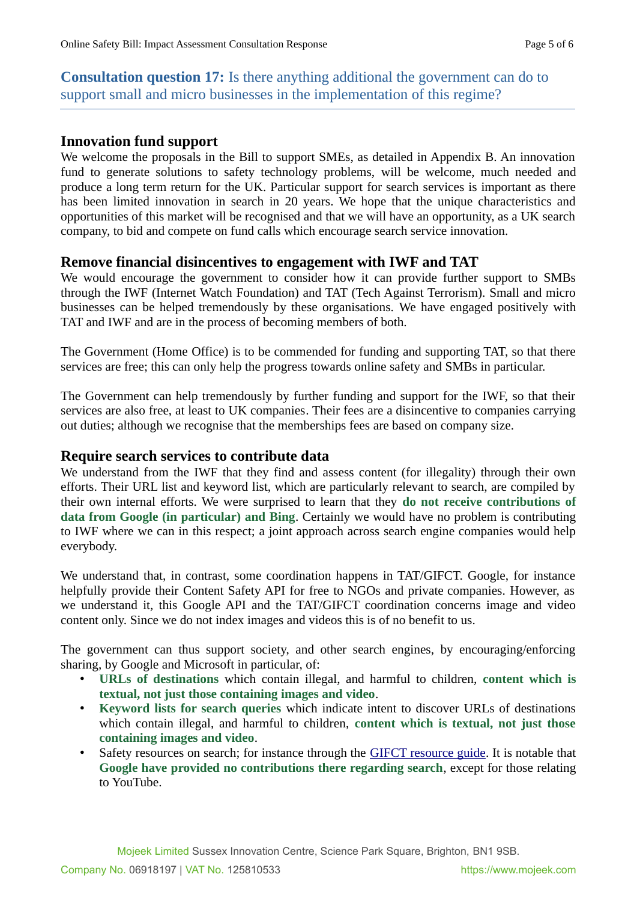**Consultation question 17:** Is there anything additional the government can do to support small and micro businesses in the implementation of this regime?

#### **Innovation fund support**

We welcome the proposals in the Bill to support SMEs, as detailed in Appendix B. An innovation fund to generate solutions to safety technology problems, will be welcome, much needed and produce a long term return for the UK. Particular support for search services is important as there has been limited innovation in search in 20 years. We hope that the unique characteristics and opportunities of this market will be recognised and that we will have an opportunity, as a UK search company, to bid and compete on fund calls which encourage search service innovation.

#### **Remove financial disincentives to engagement with IWF and TAT**

We would encourage the government to consider how it can provide further support to SMBs through the IWF (Internet Watch Foundation) and TAT (Tech Against Terrorism). Small and micro businesses can be helped tremendously by these organisations. We have engaged positively with TAT and IWF and are in the process of becoming members of both.

The Government (Home Office) is to be commended for funding and supporting TAT, so that there services are free; this can only help the progress towards online safety and SMBs in particular.

The Government can help tremendously by further funding and support for the IWF, so that their services are also free, at least to UK companies. Their fees are a disincentive to companies carrying out duties; although we recognise that the memberships fees are based on company size.

#### **Require search services to contribute data**

We understand from the IWF that they find and assess content (for illegality) through their own efforts. Their URL list and keyword list, which are particularly relevant to search, are compiled by their own internal efforts. We were surprised to learn that they **do not receive contributions of data from Google (in particular) and Bing**. Certainly we would have no problem is contributing to IWF where we can in this respect; a joint approach across search engine companies would help everybody.

We understand that, in contrast, some coordination happens in TAT/GIFCT. Google, for instance helpfully provide their Content Safety API for free to NGOs and private companies. However, as we understand it, this Google API and the TAT/GIFCT coordination concerns image and video content only. Since we do not index images and videos this is of no benefit to us.

The government can thus support society, and other search engines, by encouraging/enforcing sharing, by Google and Microsoft in particular, of:

- **URLs of destinations** which contain illegal, and harmful to children, **content which is textual, not just those containing images and video**.
- **Keyword lists for search queries** which indicate intent to discover URLs of destinations which contain illegal, and harmful to children, **content which is textual, not just those containing images and video**.
- Safety resources on search; for instance through the [GIFCT resource guide](https://gifct.org/resource-guide/). It is notable that **Google have provided no contributions there regarding search**, except for those relating to YouTube.